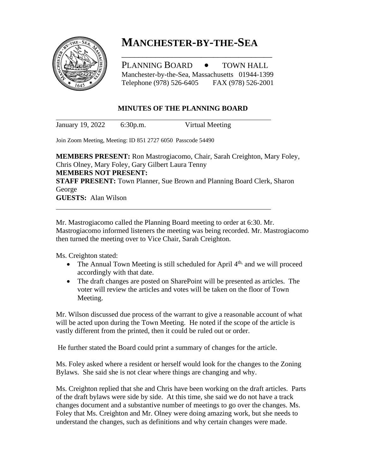

## **MANCHESTER-BY-THE-SEA**

PLANNING BOARD • TOWN HALL Manchester-by-the-Sea, Massachusetts 01944-1399 Telephone (978) 526-6405 FAX (978) 526-2001

\_\_\_\_\_\_\_\_\_\_\_\_\_\_\_\_\_\_\_\_\_\_\_\_\_\_\_\_\_\_\_\_\_\_\_\_

## **MINUTES OF THE PLANNING BOARD**

January 19, 2022 6:30p.m. Virtual Meeting

Join Zoom Meeting, Meeting: ID 851 2727 6050 Passcode 54490

**MEMBERS PRESENT:** Ron Mastrogiacomo, Chair, Sarah Creighton, Mary Foley, Chris Olney, Mary Foley, Gary Gilbert Laura Tenny **MEMBERS NOT PRESENT: STAFF PRESENT:** Town Planner, Sue Brown and Planning Board Clerk, Sharon George **GUESTS:** Alan Wilson

Mr. Mastrogiacomo called the Planning Board meeting to order at 6:30. Mr. Mastrogiacomo informed listeners the meeting was being recorded. Mr. Mastrogiacomo then turned the meeting over to Vice Chair, Sarah Creighton.

Ms. Creighton stated:

- The Annual Town Meeting is still scheduled for April  $4<sup>th</sup>$  and we will proceed accordingly with that date.
- The draft changes are posted on SharePoint will be presented as articles. The voter will review the articles and votes will be taken on the floor of Town Meeting.

Mr. Wilson discussed due process of the warrant to give a reasonable account of what will be acted upon during the Town Meeting. He noted if the scope of the article is vastly different from the printed, then it could be ruled out or order.

He further stated the Board could print a summary of changes for the article.

Ms. Foley asked where a resident or herself would look for the changes to the Zoning Bylaws. She said she is not clear where things are changing and why.

Ms. Creighton replied that she and Chris have been working on the draft articles. Parts of the draft bylaws were side by side. At this time, she said we do not have a track changes document and a substantive number of meetings to go over the changes. Ms. Foley that Ms. Creighton and Mr. Olney were doing amazing work, but she needs to understand the changes, such as definitions and why certain changes were made.